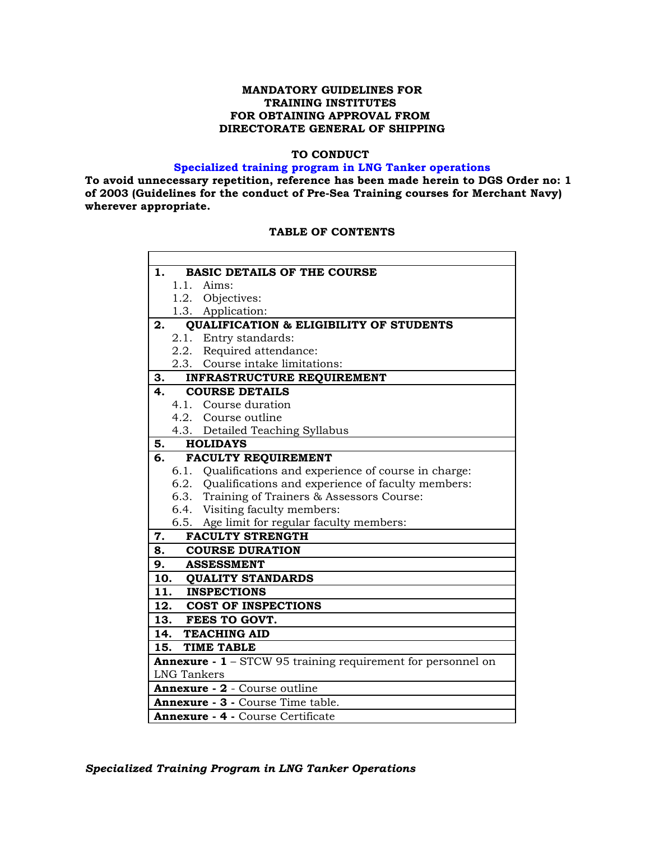### **MANDATORY GUIDELINES FOR TRAINING INSTITUTES FOR OBTAINING APPROVAL FROM DIRECTORATE GENERAL OF SHIPPING**

### **TO CONDUCT**

### **Specialized training program in LNG Tanker operations**

**To avoid unnecessary repetition, reference has been made herein to DGS Order no: 1 of 2003 (Guidelines for the conduct of Pre-Sea Training courses for Merchant Navy) wherever appropriate.** 

### **TABLE OF CONTENTS**

| 1.  |                    | <b>BASIC DETAILS OF THE COURSE</b>                                  |
|-----|--------------------|---------------------------------------------------------------------|
|     |                    | 1.1. Aims:                                                          |
|     |                    | 1.2. Objectives:                                                    |
|     |                    | 1.3. Application:                                                   |
| 2.  |                    | <b>QUALIFICATION &amp; ELIGIBILITY OF STUDENTS</b>                  |
|     |                    | 2.1. Entry standards:                                               |
|     |                    | 2.2. Required attendance:                                           |
|     |                    | 2.3. Course intake limitations:                                     |
| 3.  |                    | INFRASTRUCTURE REQUIREMENT                                          |
| 4.  |                    | <b>COURSE DETAILS</b>                                               |
|     | 4.1.               | Course duration                                                     |
|     |                    | 4.2. Course outline                                                 |
|     |                    | 4.3. Detailed Teaching Syllabus                                     |
| 5.  |                    | <b>HOLIDAYS</b>                                                     |
| 6.  |                    | FACULTY REQUIREMENT                                                 |
|     |                    | 6.1. Qualifications and experience of course in charge:             |
|     |                    | 6.2. Qualifications and experience of faculty members:              |
|     |                    | 6.3. Training of Trainers & Assessors Course:                       |
|     |                    | 6.4. Visiting faculty members:                                      |
|     |                    | 6.5. Age limit for regular faculty members:                         |
| 7.  |                    | <b>FACULTY STRENGTH</b>                                             |
|     | 8.                 | <b>COURSE DURATION</b>                                              |
| 9.  |                    | <b>ASSESSMENT</b>                                                   |
|     |                    | 10. QUALITY STANDARDS                                               |
| 11. |                    | <b>INSPECTIONS</b>                                                  |
|     |                    | 12. COST OF INSPECTIONS                                             |
|     |                    | 13. FEES TO GOVT.                                                   |
| 14. |                    | <b>TEACHING AID</b>                                                 |
| 15. |                    | <b>TIME TABLE</b>                                                   |
|     |                    | <b>Annexure - 1</b> – STCW 95 training requirement for personnel on |
|     | <b>LNG Tankers</b> |                                                                     |
|     |                    | Annexure - 2 - Course outline                                       |
|     |                    | Annexure - 3 - Course Time table.                                   |
|     |                    | <b>Annexure - 4 - Course Certificate</b>                            |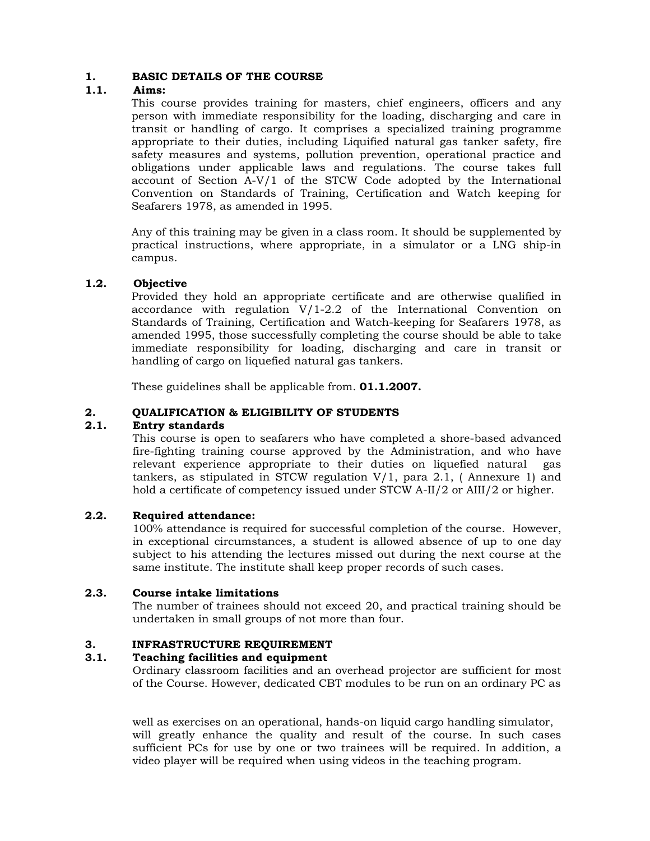### **1. BASIC DETAILS OF THE COURSE**

### **1.1. Aims:**

This course provides training for masters, chief engineers, officers and any person with immediate responsibility for the loading, discharging and care in transit or handling of cargo. It comprises a specialized training programme appropriate to their duties, including Liquified natural gas tanker safety, fire safety measures and systems, pollution prevention, operational practice and obligations under applicable laws and regulations. The course takes full account of Section A-V/1 of the STCW Code adopted by the International Convention on Standards of Training, Certification and Watch keeping for Seafarers 1978, as amended in 1995.

Any of this training may be given in a class room. It should be supplemented by practical instructions, where appropriate, in a simulator or a LNG ship-in campus.

### **1.2. Objective**

Provided they hold an appropriate certificate and are otherwise qualified in accordance with regulation V/1-2.2 of the International Convention on Standards of Training, Certification and Watch-keeping for Seafarers 1978, as amended 1995, those successfully completing the course should be able to take immediate responsibility for loading, discharging and care in transit or handling of cargo on liquefied natural gas tankers.

These guidelines shall be applicable from. **01.1.2007.** 

### **2. QUALIFICATION & ELIGIBILITY OF STUDENTS**

### **2.1. Entry standards**

This course is open to seafarers who have completed a shore-based advanced fire-fighting training course approved by the Administration, and who have relevant experience appropriate to their duties on liquefied natural gas tankers, as stipulated in STCW regulation  $V/1$ , para 2.1, (Annexure 1) and hold a certificate of competency issued under STCW A-II/2 or AIII/2 or higher.

### **2.2. Required attendance:**

100% attendance is required for successful completion of the course. However, in exceptional circumstances, a student is allowed absence of up to one day subject to his attending the lectures missed out during the next course at the same institute. The institute shall keep proper records of such cases.

### **2.3. Course intake limitations**

The number of trainees should not exceed 20, and practical training should be undertaken in small groups of not more than four.

### **3. INFRASTRUCTURE REQUIREMENT**

### **3.1. Teaching facilities and equipment**

Ordinary classroom facilities and an overhead projector are sufficient for most of the Course. However, dedicated CBT modules to be run on an ordinary PC as

well as exercises on an operational, hands-on liquid cargo handling simulator, will greatly enhance the quality and result of the course. In such cases sufficient PCs for use by one or two trainees will be required. In addition, a video player will be required when using videos in the teaching program.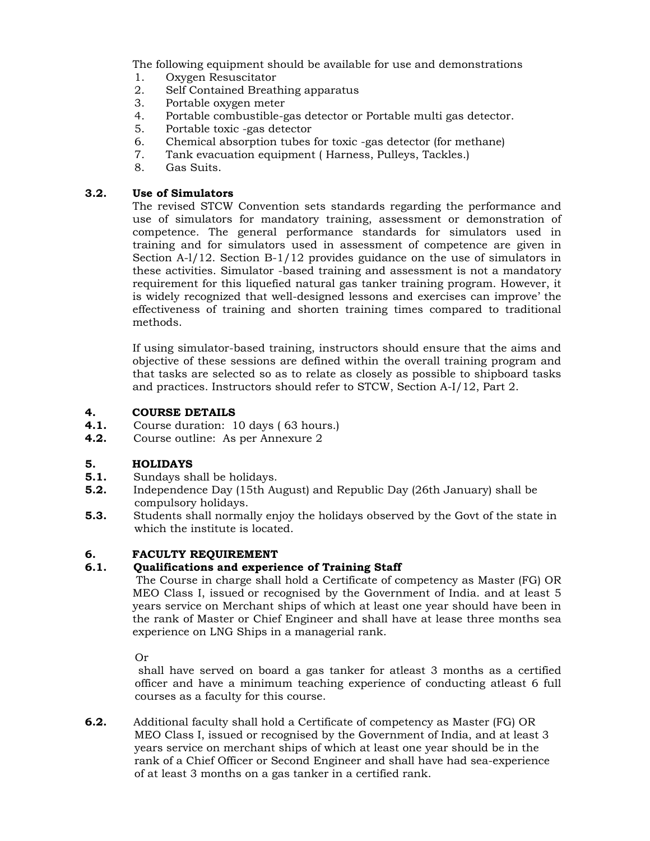The following equipment should be available for use and demonstrations

- 1. Oxygen Resuscitator
- 2. Self Contained Breathing apparatus
- 3. Portable oxygen meter
- 4. Portable combustible-gas detector or Portable multi gas detector.
- 5. Portable toxic -gas detector
- 6. Chemical absorption tubes for toxic -gas detector (for methane)
- 7. Tank evacuation equipment ( Harness, Pulleys, Tackles.)
- 8. Gas Suits.

### **3.2. Use of Simulators**

The revised STCW Convention sets standards regarding the performance and use of simulators for mandatory training, assessment or demonstration of competence. The general performance standards for simulators used in training and for simulators used in assessment of competence are given in Section A-l/12. Section B-1/12 provides guidance on the use of simulators in these activities. Simulator -based training and assessment is not a mandatory requirement for this liquefied natural gas tanker training program. However, it is widely recognized that well-designed lessons and exercises can improve' the effectiveness of training and shorten training times compared to traditional methods.

If using simulator-based training, instructors should ensure that the aims and objective of these sessions are defined within the overall training program and that tasks are selected so as to relate as closely as possible to shipboard tasks and practices. Instructors should refer to STCW, Section A-I/12, Part 2.

### **4. COURSE DETAILS**

- **4.1.** Course duration: 10 days ( 63 hours.)
- **4.2.** Course outline: As per Annexure 2

### **5. HOLIDAYS**

- **5.1.** Sundays shall be holidays.
- **5.2.** Independence Day (15th August) and Republic Day (26th January) shall be compulsory holidays.
- **5.3.** Students shall normally enjoy the holidays observed by the Govt of the state in which the institute is located.

### **6. FACULTY REQUIREMENT**

### **6.1. Qualifications and experience of Training Staff**

 The Course in charge shall hold a Certificate of competency as Master (FG) OR MEO Class I, issued or recognised by the Government of India. and at least 5 years service on Merchant ships of which at least one year should have been in the rank of Master or Chief Engineer and shall have at lease three months sea experience on LNG Ships in a managerial rank.

Or

 shall have served on board a gas tanker for atleast 3 months as a certified officer and have a minimum teaching experience of conducting atleast 6 full courses as a faculty for this course.

**6.2.** Additional faculty shall hold a Certificate of competency as Master (FG) OR MEO Class I, issued or recognised by the Government of India, and at least 3 years service on merchant ships of which at least one year should be in the rank of a Chief Officer or Second Engineer and shall have had sea-experience of at least 3 months on a gas tanker in a certified rank.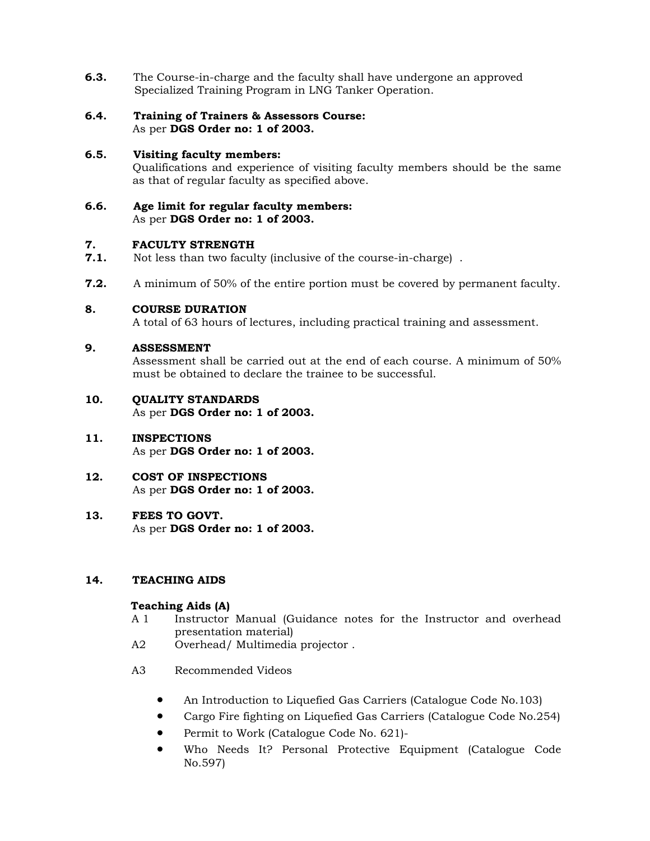- **6.3.** The Course-in-charge and the faculty shall have undergone an approved Specialized Training Program in LNG Tanker Operation.
- **6.4. Training of Trainers & Assessors Course:** As per **DGS Order no: 1 of 2003.**
- **6.5. Visiting faculty members:**  Qualifications and experience of visiting faculty members should be the same as that of regular faculty as specified above.
- **6.6. Age limit for regular faculty members:** As per **DGS Order no: 1 of 2003.**

# **7. FACULTY STRENGTH**<br>**7.1.** Not less than two facul

- **7.1.** Not less than two faculty (inclusive of the course-in-charge) .
- **7.2.** A minimum of 50% of the entire portion must be covered by permanent faculty.

### **8. COURSE DURATION**

A total of 63 hours of lectures, including practical training and assessment.

### **9. ASSESSMENT**

Assessment shall be carried out at the end of each course. A minimum of 50% must be obtained to declare the trainee to be successful.

- **10. QUALITY STANDARDS**  As per **DGS Order no: 1 of 2003.**
- **11. INSPECTIONS** As per **DGS Order no: 1 of 2003.**
- **12. COST OF INSPECTIONS** As per **DGS Order no: 1 of 2003.**
- **13. FEES TO GOVT.** As per **DGS Order no: 1 of 2003.**

### **14. TEACHING AIDS**

### **Teaching Aids (A)**

- A 1 Instructor Manual (Guidance notes for the Instructor and overhead presentation material)
- A2 Overhead/ Multimedia projector .
- A3 Recommended Videos
	- An Introduction to Liquefied Gas Carriers (Catalogue Code No.103)
	- Cargo Fire fighting on Liquefied Gas Carriers (Catalogue Code No.254)
	- Permit to Work (Catalogue Code No. 621)-
	- Who Needs It? Personal Protective Equipment (Catalogue Code No.597)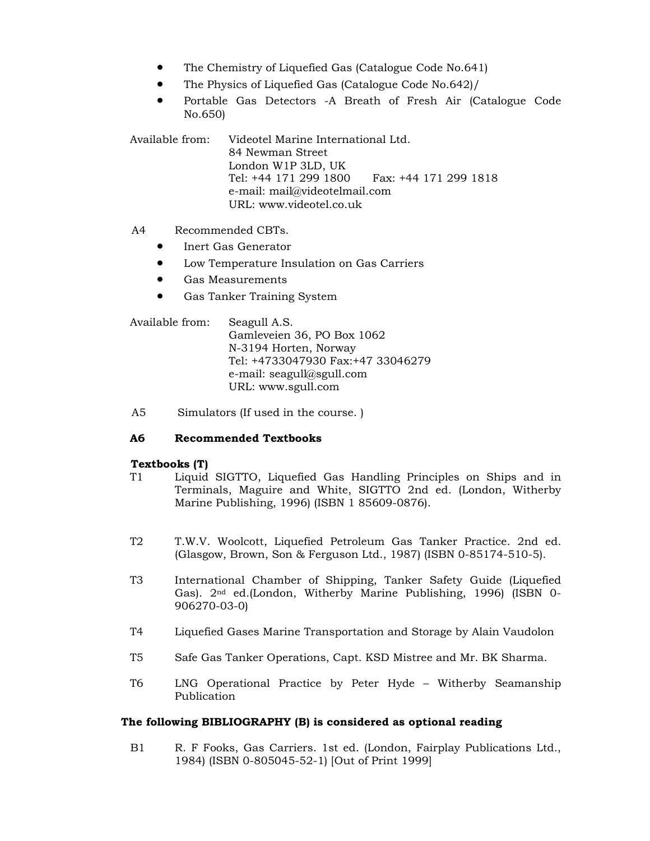- The Chemistry of Liquefied Gas (Catalogue Code No.641)
- The Physics of Liquefied Gas (Catalogue Code No.642)/
- Portable Gas Detectors -A Breath of Fresh Air (Catalogue Code No.650)

Available from: Videotel Marine International Ltd. 84 Newman Street London W1P 3LD, UK Tel: +44 171 299 1800 Fax: +44 171 299 1818 e-mail: mail@videotelmail.com URL: www.videotel.co.uk

### A4 Recommended CBTs.

- Inert Gas Generator
- Low Temperature Insulation on Gas Carriers
- Gas Measurements
- Gas Tanker Training System

Available from: Seagull A.S. Gamleveien 36, PO Box 1062 N-3194 Horten, Norway Tel: +4733047930 Fax:+47 33046279 e-mail: seagull@sgull.com URL: www.sgull.com

A5 Simulators (If used in the course. )

### **A6 Recommended Textbooks**

### **Textbooks (T)**

- T1 Liquid SIGTTO, Liquefied Gas Handling Principles on Ships and in Terminals, Maguire and White, SIGTTO 2nd ed. (London, Witherby Marine Publishing, 1996) (ISBN 1 85609-0876).
- T2 T.W.V. Woolcott, Liquefied Petroleum Gas Tanker Practice. 2nd ed. (Glasgow, Brown, Son & Ferguson Ltd., 1987) (ISBN 0-85174-510-5).
- T3 International Chamber of Shipping, Tanker Safety Guide (Liquefied Gas). 2nd ed.(London, Witherby Marine Publishing, 1996) (ISBN 0- 906270-03-0)
- T4 Liquefied Gases Marine Transportation and Storage by Alain Vaudolon
- T5 Safe Gas Tanker Operations, Capt. KSD Mistree and Mr. BK Sharma.
- T6 LNG Operational Practice by Peter Hyde Witherby Seamanship Publication

### **The following BIBLIOGRAPHY (B) is considered as optional reading**

B1 R. F Fooks, Gas Carriers. 1st ed. (London, Fairplay Publications Ltd., 1984) (ISBN 0-805045-52-1) [Out of Print 1999]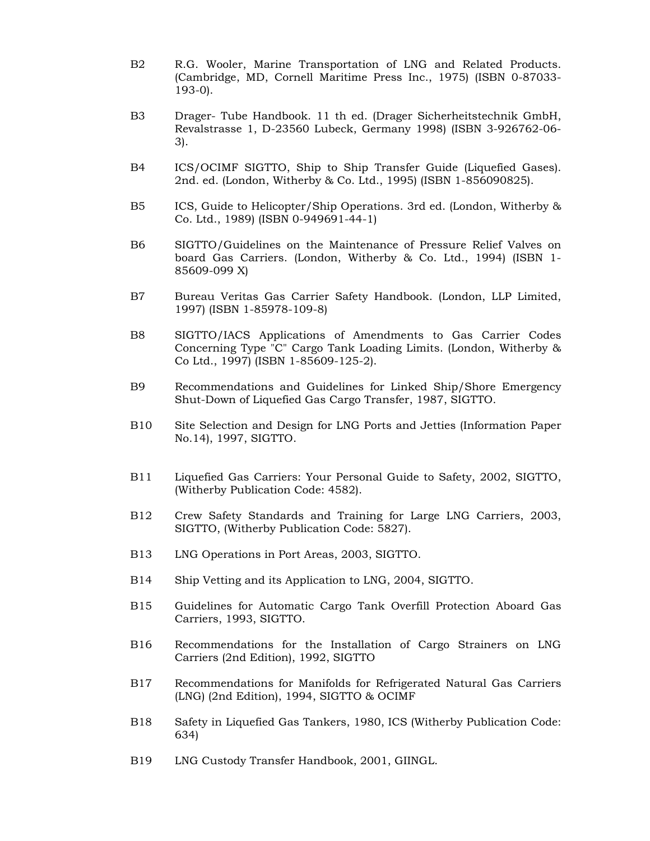- B2 R.G. Wooler, Marine Transportation of LNG and Related Products. (Cambridge, MD, Cornell Maritime Press Inc., 1975) (ISBN 0-87033- 193-0).
- B3 Drager- Tube Handbook. 11 th ed. (Drager Sicherheitstechnik GmbH, Revalstrasse 1, D-23560 Lubeck, Germany 1998) (ISBN 3-926762-06- 3).
- B4 ICS/OCIMF SIGTTO, Ship to Ship Transfer Guide (Liquefied Gases). 2nd. ed. (London, Witherby & Co. Ltd., 1995) (ISBN 1-856090825).
- B5 ICS, Guide to Helicopter/Ship Operations. 3rd ed. (London, Witherby & Co. Ltd., 1989) (ISBN 0-949691-44-1)
- B6 SIGTTO/Guidelines on the Maintenance of Pressure Relief Valves on board Gas Carriers. (London, Witherby & Co. Ltd., 1994) (ISBN 1- 85609-099 X)
- B7 Bureau Veritas Gas Carrier Safety Handbook. (London, LLP Limited, 1997) (ISBN 1-85978-109-8)
- B8 SIGTTO/IACS Applications of Amendments to Gas Carrier Codes Concerning Type "C" Cargo Tank Loading Limits. (London, Witherby & Co Ltd., 1997) (ISBN 1-85609-125-2).
- B9 Recommendations and Guidelines for Linked Ship/Shore Emergency Shut-Down of Liquefied Gas Cargo Transfer, 1987, SIGTTO.
- B10 Site Selection and Design for LNG Ports and Jetties (Information Paper No.14), 1997, SIGTTO.
- B11 Liquefied Gas Carriers: Your Personal Guide to Safety, 2002, SIGTTO, (Witherby Publication Code: 4582).
- B12 Crew Safety Standards and Training for Large LNG Carriers, 2003, SIGTTO, (Witherby Publication Code: 5827).
- B13 LNG Operations in Port Areas, 2003, SIGTTO.
- B14 Ship Vetting and its Application to LNG, 2004, SIGTTO.
- B15 Guidelines for Automatic Cargo Tank Overfill Protection Aboard Gas Carriers, 1993, SIGTTO.
- B16 Recommendations for the Installation of Cargo Strainers on LNG Carriers (2nd Edition), 1992, SIGTTO
- B17 Recommendations for Manifolds for Refrigerated Natural Gas Carriers (LNG) (2nd Edition), 1994, SIGTTO & OCIMF
- B18 Safety in Liquefied Gas Tankers, 1980, ICS (Witherby Publication Code: 634)
- B19 LNG Custody Transfer Handbook, 2001, GIINGL.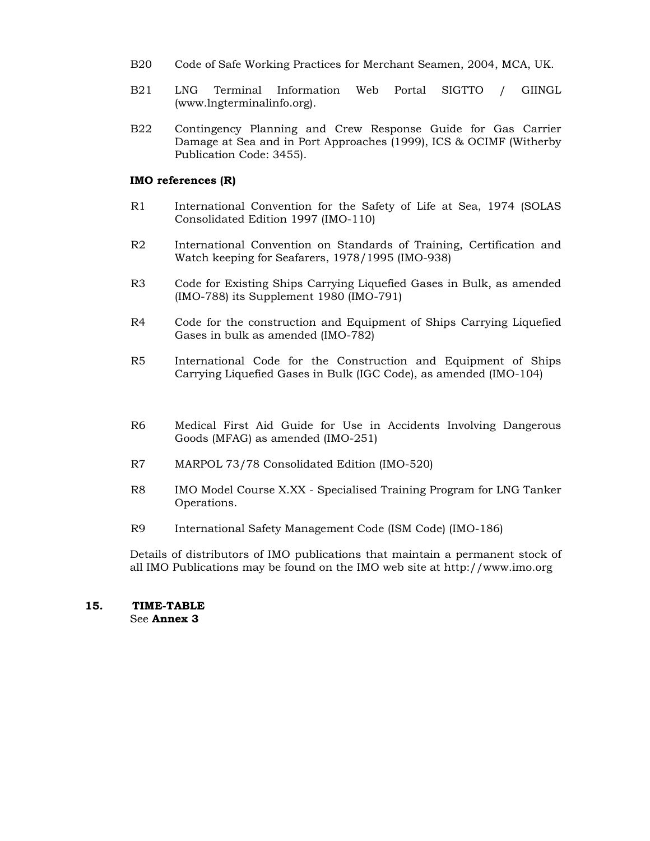- B20 Code of Safe Working Practices for Merchant Seamen, 2004, MCA, UK.
- B21 LNG Terminal Information Web Portal SIGTTO / GIINGL (www.lngterminalinfo.org).
- B22 Contingency Planning and Crew Response Guide for Gas Carrier Damage at Sea and in Port Approaches (1999), ICS & OCIMF (Witherby Publication Code: 3455).

### **IMO references (R)**

- R1 International Convention for the Safety of Life at Sea, 1974 (SOLAS Consolidated Edition 1997 (IMO-110)
- R2 International Convention on Standards of Training, Certification and Watch keeping for Seafarers, 1978/1995 (IMO-938)
- R3 Code for Existing Ships Carrying Liquefied Gases in Bulk, as amended (IMO-788) its Supplement 1980 (IMO-791)
- R4 Code for the construction and Equipment of Ships Carrying Liquefied Gases in bulk as amended (IMO-782)
- R5 International Code for the Construction and Equipment of Ships Carrying Liquefied Gases in Bulk (IGC Code), as amended (IMO-104)
- R6 Medical First Aid Guide for Use in Accidents Involving Dangerous Goods (MFAG) as amended (IMO-251)
- R7 MARPOL 73/78 Consolidated Edition (IMO-520)
- R8 IMO Model Course X.XX Specialised Training Program for LNG Tanker Operations.
- R9 International Safety Management Code (ISM Code) (IMO-186)

Details of distributors of IMO publications that maintain a permanent stock of all IMO Publications may be found on the IMO web site at http://www.imo.org

## **15. TIME-TABLE**

See **Annex 3**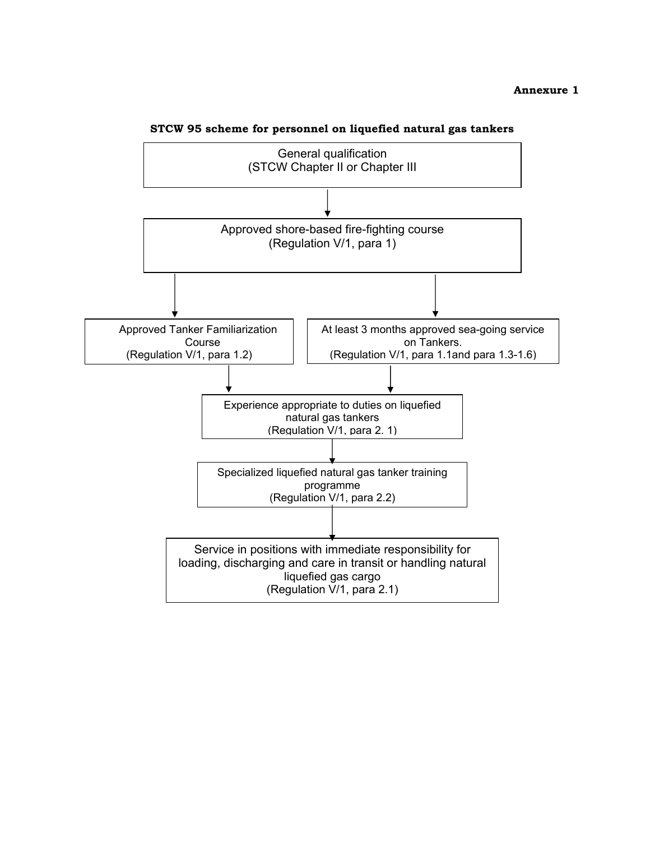### **Annexure 1**



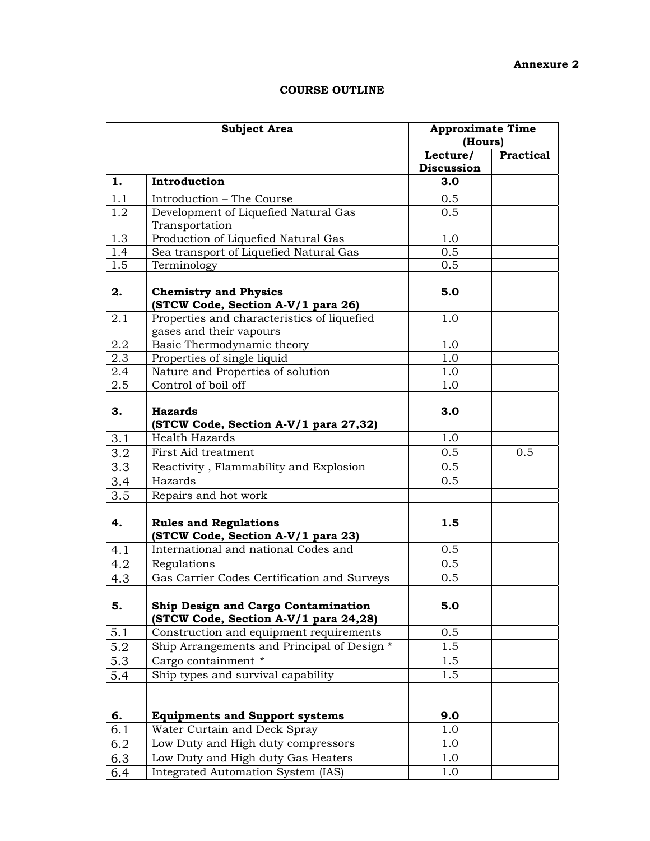### **Annexure 2**

| <b>COURSE OUTLINE</b> |
|-----------------------|
|-----------------------|

|                  | <b>Subject Area</b>                                                          | <b>Approximate Time</b><br>(Hours) |                  |
|------------------|------------------------------------------------------------------------------|------------------------------------|------------------|
|                  |                                                                              | Lecture/<br>Discussion             | <b>Practical</b> |
| 1.               | Introduction                                                                 | 3.0                                |                  |
| 1.1              | Introduction - The Course                                                    | 0.5                                |                  |
| $\overline{1.2}$ | Development of Liquefied Natural Gas                                         | 0.5                                |                  |
|                  | Transportation                                                               |                                    |                  |
| $\overline{1.3}$ | Production of Liquefied Natural Gas                                          | 1.0                                |                  |
| 1.4              | Sea transport of Liquefied Natural Gas                                       | 0.5                                |                  |
| 1.5              | Terminology                                                                  | 0.5                                |                  |
| 2.               | <b>Chemistry and Physics</b><br>(STCW Code, Section A-V/1 para 26)           | 5.0                                |                  |
| 2.1              | Properties and characteristics of liquefied<br>gases and their vapours       | 1.0                                |                  |
| 2.2              | Basic Thermodynamic theory                                                   | 1.0                                |                  |
| 2.3              | Properties of single liquid                                                  | 1.0                                |                  |
| 2.4              | Nature and Properties of solution                                            | 1.0                                |                  |
| 2.5              | Control of boil off                                                          | 1.0                                |                  |
| 3.               | <b>Hazards</b><br>(STCW Code, Section A-V/1 para 27,32)                      | 3.0                                |                  |
| 3.1              | <b>Health Hazards</b>                                                        | 1.0                                |                  |
| 3.2              | First Aid treatment                                                          | 0.5                                | 0.5              |
| 3.3              | Reactivity, Flammability and Explosion                                       | 0.5                                |                  |
| 3.4              | Hazards                                                                      | 0.5                                |                  |
| 3.5              | Repairs and hot work                                                         |                                    |                  |
|                  |                                                                              |                                    |                  |
| 4.               | <b>Rules and Regulations</b><br>(STCW Code, Section A-V/1 para 23)           | 1.5                                |                  |
| 4.1              | International and national Codes and                                         | 0.5                                |                  |
| 4.2              | Regulations                                                                  | 0.5                                |                  |
| 4.3              | Gas Carrier Codes Certification and Surveys                                  | 0.5                                |                  |
| 5.               | Ship Design and Cargo Contamination<br>(STCW Code, Section A-V/1 para 24,28) | 5.0                                |                  |
| 5.1              | Construction and equipment requirements                                      | 0.5                                |                  |
| 5.2              | Ship Arrangements and Principal of Design *                                  | 1.5                                |                  |
| 5.3              | Cargo containment *                                                          | 1.5                                |                  |
| 5.4              | Ship types and survival capability                                           | 1.5                                |                  |
|                  |                                                                              |                                    |                  |
| 6.               | <b>Equipments and Support systems</b>                                        | 9.0                                |                  |
| 6.1              | Water Curtain and Deck Spray                                                 | 1.0                                |                  |
| 6.2              | Low Duty and High duty compressors                                           | 1.0                                |                  |
| 6.3              | Low Duty and High duty Gas Heaters                                           | 1.0                                |                  |
| 6.4              | Integrated Automation System (IAS)                                           | 1.0                                |                  |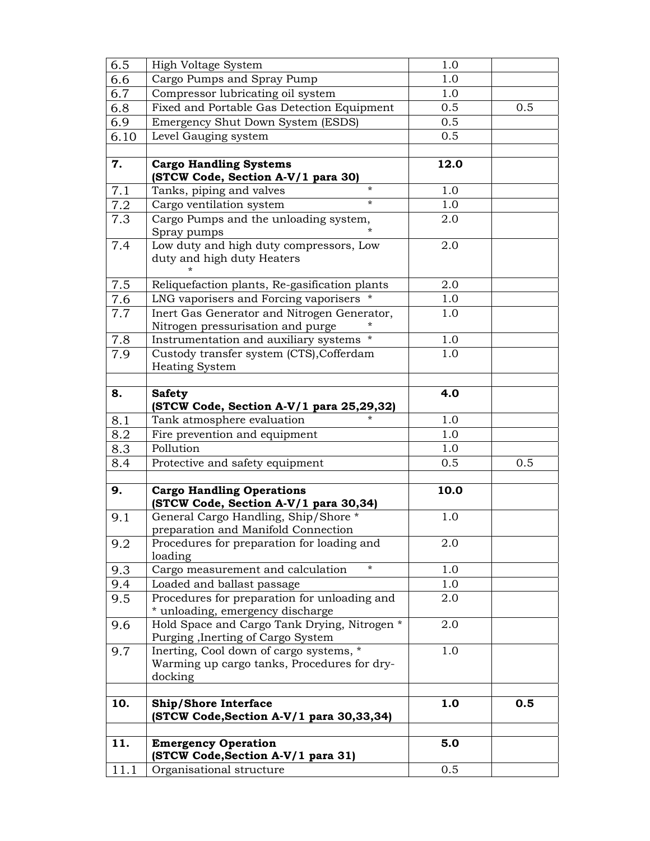| (STCW Code, Section A-V/1 para 31)<br>Organisational structure              | 0.5                                                                                                                                                                                                                                                                                                                                                                                                                                                                                                                                                                                                                                                                                                                                                                                                                        |                                                                                                                      |
|-----------------------------------------------------------------------------|----------------------------------------------------------------------------------------------------------------------------------------------------------------------------------------------------------------------------------------------------------------------------------------------------------------------------------------------------------------------------------------------------------------------------------------------------------------------------------------------------------------------------------------------------------------------------------------------------------------------------------------------------------------------------------------------------------------------------------------------------------------------------------------------------------------------------|----------------------------------------------------------------------------------------------------------------------|
|                                                                             |                                                                                                                                                                                                                                                                                                                                                                                                                                                                                                                                                                                                                                                                                                                                                                                                                            |                                                                                                                      |
|                                                                             | 5.0                                                                                                                                                                                                                                                                                                                                                                                                                                                                                                                                                                                                                                                                                                                                                                                                                        |                                                                                                                      |
| (STCW Code, Section A-V/1 para 30,33,34)                                    |                                                                                                                                                                                                                                                                                                                                                                                                                                                                                                                                                                                                                                                                                                                                                                                                                            | 0.5                                                                                                                  |
|                                                                             |                                                                                                                                                                                                                                                                                                                                                                                                                                                                                                                                                                                                                                                                                                                                                                                                                            |                                                                                                                      |
|                                                                             |                                                                                                                                                                                                                                                                                                                                                                                                                                                                                                                                                                                                                                                                                                                                                                                                                            |                                                                                                                      |
|                                                                             | 1.0                                                                                                                                                                                                                                                                                                                                                                                                                                                                                                                                                                                                                                                                                                                                                                                                                        |                                                                                                                      |
| Purging, Inerting of Cargo System                                           |                                                                                                                                                                                                                                                                                                                                                                                                                                                                                                                                                                                                                                                                                                                                                                                                                            |                                                                                                                      |
|                                                                             |                                                                                                                                                                                                                                                                                                                                                                                                                                                                                                                                                                                                                                                                                                                                                                                                                            |                                                                                                                      |
| Procedures for preparation for unloading and                                | 2.0                                                                                                                                                                                                                                                                                                                                                                                                                                                                                                                                                                                                                                                                                                                                                                                                                        |                                                                                                                      |
| Loaded and ballast passage                                                  | 1.0                                                                                                                                                                                                                                                                                                                                                                                                                                                                                                                                                                                                                                                                                                                                                                                                                        |                                                                                                                      |
| $\star$<br>Cargo measurement and calculation                                | 1.0                                                                                                                                                                                                                                                                                                                                                                                                                                                                                                                                                                                                                                                                                                                                                                                                                        |                                                                                                                      |
| Procedures for preparation for loading and<br>loading                       | 2.0                                                                                                                                                                                                                                                                                                                                                                                                                                                                                                                                                                                                                                                                                                                                                                                                                        |                                                                                                                      |
| General Cargo Handling, Ship/Shore *<br>preparation and Manifold Connection | 1.0                                                                                                                                                                                                                                                                                                                                                                                                                                                                                                                                                                                                                                                                                                                                                                                                                        |                                                                                                                      |
| <b>Cargo Handling Operations</b><br>(STCW Code, Section A-V/1 para 30,34)   | 10.0                                                                                                                                                                                                                                                                                                                                                                                                                                                                                                                                                                                                                                                                                                                                                                                                                       |                                                                                                                      |
|                                                                             |                                                                                                                                                                                                                                                                                                                                                                                                                                                                                                                                                                                                                                                                                                                                                                                                                            |                                                                                                                      |
|                                                                             |                                                                                                                                                                                                                                                                                                                                                                                                                                                                                                                                                                                                                                                                                                                                                                                                                            | 0.5                                                                                                                  |
|                                                                             |                                                                                                                                                                                                                                                                                                                                                                                                                                                                                                                                                                                                                                                                                                                                                                                                                            |                                                                                                                      |
|                                                                             |                                                                                                                                                                                                                                                                                                                                                                                                                                                                                                                                                                                                                                                                                                                                                                                                                            |                                                                                                                      |
| <b>Safety</b><br>(STCW Code, Section A-V/1 para 25,29,32)                   | 4.0                                                                                                                                                                                                                                                                                                                                                                                                                                                                                                                                                                                                                                                                                                                                                                                                                        |                                                                                                                      |
|                                                                             |                                                                                                                                                                                                                                                                                                                                                                                                                                                                                                                                                                                                                                                                                                                                                                                                                            |                                                                                                                      |
| Custody transfer system (CTS), Cofferdam                                    | 1.0                                                                                                                                                                                                                                                                                                                                                                                                                                                                                                                                                                                                                                                                                                                                                                                                                        |                                                                                                                      |
| Instrumentation and auxiliary systems                                       | 1.0                                                                                                                                                                                                                                                                                                                                                                                                                                                                                                                                                                                                                                                                                                                                                                                                                        |                                                                                                                      |
| Nitrogen pressurisation and purge                                           |                                                                                                                                                                                                                                                                                                                                                                                                                                                                                                                                                                                                                                                                                                                                                                                                                            |                                                                                                                      |
|                                                                             |                                                                                                                                                                                                                                                                                                                                                                                                                                                                                                                                                                                                                                                                                                                                                                                                                            |                                                                                                                      |
| Reliquefaction plants, Re-gasification plants                               | 2.0                                                                                                                                                                                                                                                                                                                                                                                                                                                                                                                                                                                                                                                                                                                                                                                                                        |                                                                                                                      |
| Low duty and high duty compressors, Low<br>duty and high duty Heaters       | 2.0                                                                                                                                                                                                                                                                                                                                                                                                                                                                                                                                                                                                                                                                                                                                                                                                                        |                                                                                                                      |
| Spray pumps                                                                 |                                                                                                                                                                                                                                                                                                                                                                                                                                                                                                                                                                                                                                                                                                                                                                                                                            |                                                                                                                      |
|                                                                             |                                                                                                                                                                                                                                                                                                                                                                                                                                                                                                                                                                                                                                                                                                                                                                                                                            |                                                                                                                      |
|                                                                             |                                                                                                                                                                                                                                                                                                                                                                                                                                                                                                                                                                                                                                                                                                                                                                                                                            |                                                                                                                      |
| (STCW Code, Section A-V/1 para 30)                                          |                                                                                                                                                                                                                                                                                                                                                                                                                                                                                                                                                                                                                                                                                                                                                                                                                            |                                                                                                                      |
|                                                                             |                                                                                                                                                                                                                                                                                                                                                                                                                                                                                                                                                                                                                                                                                                                                                                                                                            |                                                                                                                      |
|                                                                             |                                                                                                                                                                                                                                                                                                                                                                                                                                                                                                                                                                                                                                                                                                                                                                                                                            |                                                                                                                      |
|                                                                             |                                                                                                                                                                                                                                                                                                                                                                                                                                                                                                                                                                                                                                                                                                                                                                                                                            |                                                                                                                      |
|                                                                             |                                                                                                                                                                                                                                                                                                                                                                                                                                                                                                                                                                                                                                                                                                                                                                                                                            | 0.5                                                                                                                  |
|                                                                             |                                                                                                                                                                                                                                                                                                                                                                                                                                                                                                                                                                                                                                                                                                                                                                                                                            |                                                                                                                      |
| High Voltage System                                                         | 1.0                                                                                                                                                                                                                                                                                                                                                                                                                                                                                                                                                                                                                                                                                                                                                                                                                        |                                                                                                                      |
|                                                                             | Cargo Pumps and Spray Pump<br>Compressor lubricating oil system<br>Fixed and Portable Gas Detection Equipment<br>Emergency Shut Down System (ESDS)<br>Level Gauging system<br><b>Cargo Handling Systems</b><br>$\star$<br>Tanks, piping and valves<br>$\star$<br>Cargo ventilation system<br>Cargo Pumps and the unloading system,<br>LNG vaporisers and Forcing vaporisers *<br>Inert Gas Generator and Nitrogen Generator,<br><b>Heating System</b><br>Tank atmosphere evaluation<br>Fire prevention and equipment<br>Pollution<br>Protective and safety equipment<br>* unloading, emergency discharge<br>Hold Space and Cargo Tank Drying, Nitrogen *<br>Inerting, Cool down of cargo systems, *<br>Warming up cargo tanks, Procedures for dry-<br>docking<br><b>Ship/Shore Interface</b><br><b>Emergency Operation</b> | 1.0<br>1.0<br>0.5<br>0.5<br>0.5<br>12.0<br>1.0<br>1.0<br>2.0<br>1.0<br>1.0<br>1.0<br>1.0<br>1.0<br>0.5<br>2.0<br>1.0 |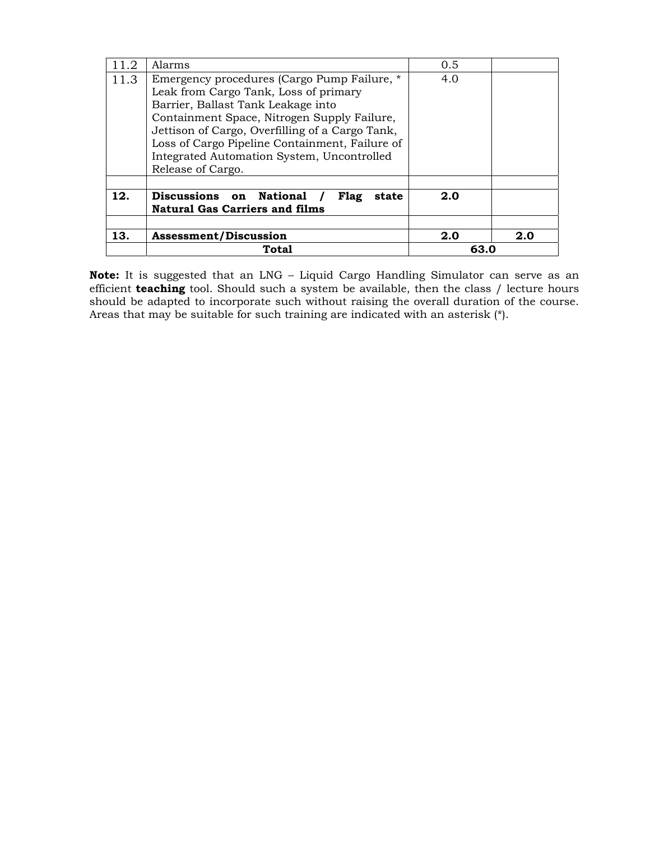|      | Total                                                                                                                                                                                                                                                                                                                                                       | 63.0       |     |
|------|-------------------------------------------------------------------------------------------------------------------------------------------------------------------------------------------------------------------------------------------------------------------------------------------------------------------------------------------------------------|------------|-----|
| 13.  | <b>Assessment/Discussion</b>                                                                                                                                                                                                                                                                                                                                | 2.0        | 2.0 |
| 12.  | Discussions on National<br>Flag<br>state<br><b>Natural Gas Carriers and films</b>                                                                                                                                                                                                                                                                           | 2.0        |     |
| 11.3 | Alarms<br>Emergency procedures (Cargo Pump Failure, *<br>Leak from Cargo Tank, Loss of primary<br>Barrier, Ballast Tank Leakage into<br>Containment Space, Nitrogen Supply Failure,<br>Jettison of Cargo, Overfilling of a Cargo Tank,<br>Loss of Cargo Pipeline Containment, Failure of<br>Integrated Automation System, Uncontrolled<br>Release of Cargo. | 0.5<br>4.0 |     |
|      |                                                                                                                                                                                                                                                                                                                                                             |            |     |

**Note:** It is suggested that an LNG – Liquid Cargo Handling Simulator can serve as an efficient **teaching** tool. Should such a system be available, then the class / lecture hours should be adapted to incorporate such without raising the overall duration of the course. Areas that may be suitable for such training are indicated with an asterisk (\*).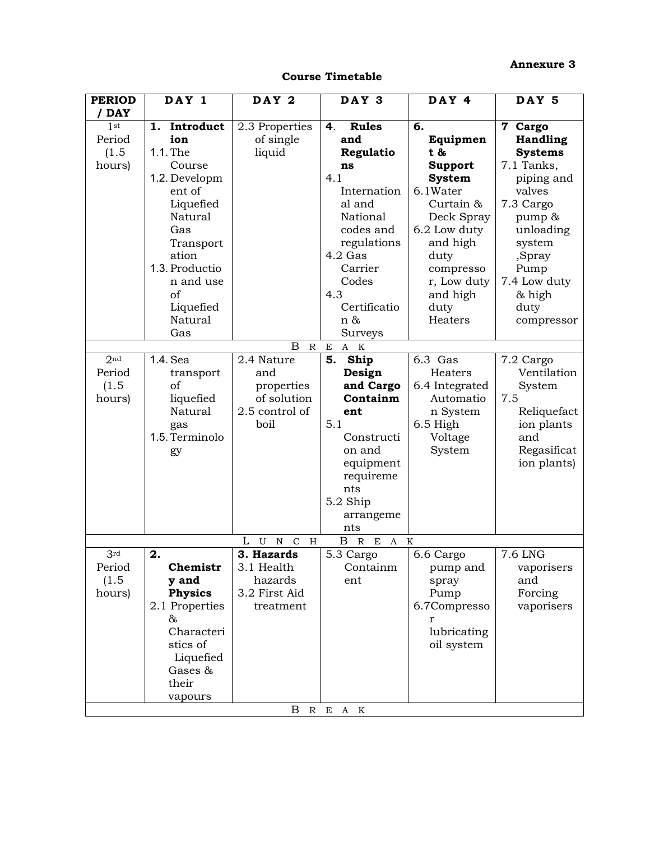### **Annexure 3**

### **Course Timetable**

| <b>PERIOD</b>   | DAY 1              | DAY 2                                       | DAY 3                                      | DAY 4                    | DAY 5                |
|-----------------|--------------------|---------------------------------------------|--------------------------------------------|--------------------------|----------------------|
| / DAY           |                    |                                             |                                            |                          |                      |
| 1 <sup>st</sup> | 1. Introduct       | 2.3 Properties                              | <b>Rules</b><br>4.                         | 6.                       | $\mathbf 7$<br>Cargo |
| Period          | ion                | of single                                   | and                                        | Equipmen                 | <b>Handling</b>      |
| (1.5)           | 1.1. The           | liquid                                      | Regulatio                                  | t &                      | <b>Systems</b>       |
| hours)          | Course             |                                             | ns                                         | <b>Support</b>           | 7.1 Tanks,           |
|                 | 1.2. Developm      |                                             | 4.1                                        | <b>System</b>            | piping and           |
|                 | ent of             |                                             | Internation                                | 6.1Water                 | valves               |
|                 | Liquefied          |                                             | al and                                     | Curtain &                | 7.3 Cargo            |
|                 | Natural            |                                             | National                                   | Deck Spray               | pump &               |
|                 | Gas                |                                             | codes and                                  | 6.2 Low duty             | unloading            |
|                 | Transport<br>ation |                                             | regulations<br>4.2 Gas                     | and high                 | system               |
|                 | 1.3. Productio     |                                             | Carrier                                    | duty                     | ,Spray               |
|                 | n and use          |                                             | Codes                                      | compresso<br>r, Low duty | Pump<br>7.4 Low duty |
|                 | of                 |                                             | 4.3                                        | and high                 | & high               |
|                 | Liquefied          |                                             | Certificatio                               | duty                     | duty                 |
|                 | <b>Natural</b>     |                                             | n &                                        | Heaters                  |                      |
|                 | Gas                |                                             | Surveys                                    |                          | compressor           |
|                 |                    | B<br>${\mathbb R}$                          | $A$ K<br>E                                 |                          |                      |
| 2 <sub>nd</sub> | 1.4. Sea           | 2.4 Nature                                  | Ship<br>5.                                 | 6.3 Gas                  | 7.2 Cargo            |
| Period          | transport          | and                                         | Design                                     | Heaters                  | Ventilation          |
| (1.5)           | of                 | properties                                  | and Cargo                                  | 6.4 Integrated           | System               |
| hours)          | liquefied          | of solution                                 | Containm                                   | Automatio                | 7.5                  |
|                 | Natural            | 2.5 control of                              | ent                                        | n System                 | Reliquefact          |
|                 | gas                | boil                                        | 5.1                                        | 6.5 High                 | ion plants           |
|                 | 1.5. Terminolo     |                                             | Constructi                                 | Voltage                  | and                  |
|                 | gy                 |                                             | on and                                     | System                   | Regasificat          |
|                 |                    |                                             | equipment                                  |                          | ion plants)          |
|                 |                    |                                             | requireme                                  |                          |                      |
|                 |                    |                                             | nts                                        |                          |                      |
|                 |                    |                                             | 5.2 Ship                                   |                          |                      |
|                 |                    |                                             | arrangeme                                  |                          |                      |
|                 |                    |                                             | nts                                        |                          |                      |
|                 |                    | L<br>U<br>$\mathbf N$<br>$\mathcal{C}$<br>Н | $\boldsymbol{B}$<br>$\mathbb{R}$<br>E<br>A | $\mathbf K$              |                      |
| 3rd             | 2.                 | 3. Hazards                                  | 5.3 Cargo                                  | 6.6 Cargo                | 7.6 LNG              |
| Period          | Chemistr           | 3.1 Health                                  | Containm                                   | pump and                 | vaporisers           |
| (1.5)           | y and              | hazards                                     | ent                                        | spray                    | and                  |
| hours)          | <b>Physics</b>     | 3.2 First Aid                               |                                            | Pump                     | Forcing              |
|                 | 2.1 Properties     | treatment                                   |                                            | 6.7Compresso             | vaporisers           |
|                 | &                  |                                             |                                            | r                        |                      |
|                 | Characteri         |                                             |                                            | lubricating              |                      |
|                 | stics of           |                                             |                                            | oil system               |                      |
|                 | Liquefied          |                                             |                                            |                          |                      |
|                 | Gases &            |                                             |                                            |                          |                      |
|                 | their              |                                             |                                            |                          |                      |
|                 | vapours            |                                             |                                            |                          |                      |
|                 |                    | B                                           | R E A K                                    |                          |                      |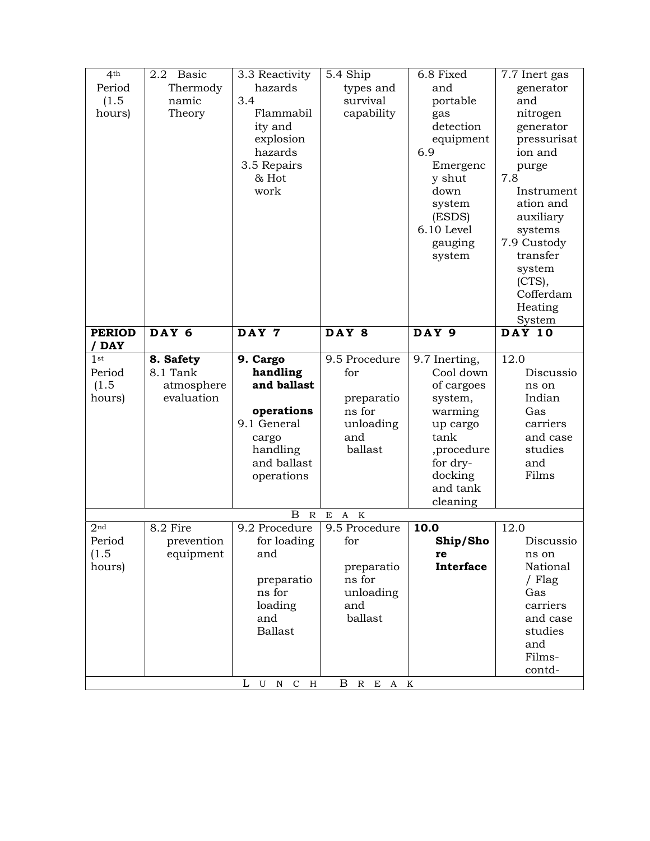| 4 <sup>th</sup> | 2.2<br>Basic | 3.3 Reactivity    | 5.4 Ship      | 6.8 Fixed     | 7.7 Inert gas           |
|-----------------|--------------|-------------------|---------------|---------------|-------------------------|
| Period          | Thermody     | hazards           | types and     | and           | generator               |
| (1.5)           | namic        | 3.4               | survival      | portable      | and                     |
| hours)          | Theory       | Flammabil         | capability    | gas           | nitrogen                |
|                 |              | ity and           |               | detection     | generator               |
|                 |              | explosion         |               | equipment     | pressurisat             |
|                 |              | hazards           |               | 6.9           | ion and                 |
|                 |              | 3.5 Repairs       |               | Emergenc      | purge                   |
|                 |              | & Hot             |               | y shut        | 7.8                     |
|                 |              | work              |               | down          | Instrument              |
|                 |              |                   |               | system        | ation and               |
|                 |              |                   |               | (ESDS)        | auxiliary               |
|                 |              |                   |               | 6.10 Level    | systems                 |
|                 |              |                   |               | gauging       | 7.9 Custody             |
|                 |              |                   |               | system        | transfer                |
|                 |              |                   |               |               | system                  |
|                 |              |                   |               |               | (CTS),                  |
|                 |              |                   |               |               | Cofferdam               |
|                 |              |                   |               |               | Heating                 |
| <b>PERIOD</b>   | DAY 6        | DAY 7             | DAY 8         | DAY 9         | System<br><b>DAY 10</b> |
| / DAY           |              |                   |               |               |                         |
| 1 <sup>st</sup> | 8. Safety    | 9. Cargo          | 9.5 Procedure | 9.7 Inerting, | 12.0                    |
| Period          | 8.1 Tank     | handling          | for           | Cool down     | Discussio               |
| (1.5)           | atmosphere   | and ballast       |               | of cargoes    | ns on                   |
| hours)          | evaluation   |                   | preparatio    | system,       | Indian                  |
|                 |              | operations        | ns for        | warming       | Gas                     |
|                 |              | 9.1 General       | unloading     | up cargo      | carriers                |
|                 |              | cargo             | and           | tank          | and case                |
|                 |              | handling          | ballast       | ,procedure    | studies                 |
|                 |              | and ballast       |               | for dry-      | and                     |
|                 |              | operations        |               | docking       | Films                   |
|                 |              |                   |               | and tank      |                         |
|                 |              |                   |               | cleaning      |                         |
|                 |              | B<br>$\mathbb{R}$ | E<br>A K      |               |                         |
| 2 <sub>nd</sub> | 8.2 Fire     | 9.2 Procedure     | 9.5 Procedure | 10.0          | 12.0                    |
| Period          | prevention   | for loading       | for           | Ship/Sho      | Discussio               |
| (1.5)           | equipment    | and               |               | re            | ns on                   |
| hours)          |              |                   | preparatio    | Interface     | National                |
|                 |              |                   | ns for        |               | / Flag                  |
|                 |              | preparatio        |               |               |                         |
|                 |              | ns for            | unloading     |               | Gas                     |
|                 |              | loading           | and           |               | carriers                |
|                 |              | and               | ballast       |               | and case                |
|                 |              | <b>Ballast</b>    |               |               | studies                 |
|                 |              |                   |               |               | and                     |
|                 |              |                   |               |               | Films-                  |
|                 |              | L U N C H         | B R E A K     |               | contd-                  |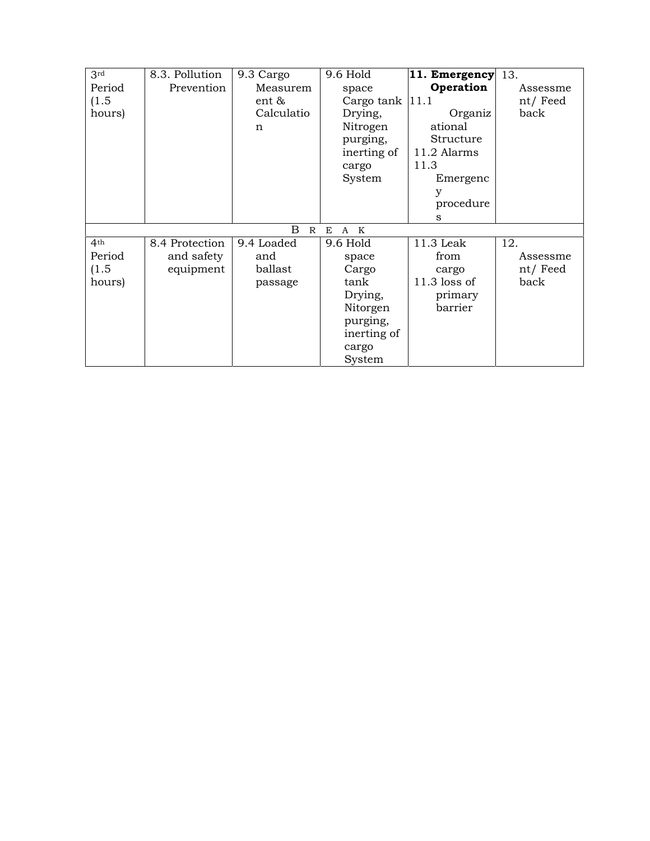| 3rd             | 8.3. Pollution | 9.3 Cargo         | 9.6 Hold                         | 11. Emergency  | 13.      |
|-----------------|----------------|-------------------|----------------------------------|----------------|----------|
| Period          | Prevention     | Measurem          | space                            | Operation      | Assessme |
| (1.5)           |                | ent &             | Cargo tank $ 11.1$               |                | nt/Feed  |
| hours)          |                | Calculatio        | Drying,                          | Organiz        | back     |
|                 |                | n                 | Nitrogen                         | ational        |          |
|                 |                |                   | purging,                         | Structure      |          |
|                 |                |                   | inerting of                      | 11.2 Alarms    |          |
|                 |                |                   | cargo                            | 11.3           |          |
|                 |                |                   | System                           | Emergenc       |          |
|                 |                |                   |                                  | у              |          |
|                 |                |                   |                                  | procedure      |          |
|                 |                |                   |                                  | S              |          |
|                 |                | B<br>$\mathbb{R}$ | E<br>$\mathbf K$<br>$\mathbf{A}$ |                |          |
| 4 <sup>th</sup> | 8.4 Protection | 9.4 Loaded        | 9.6 Hold                         | 11.3 Leak      | 12.      |
| Period          | and safety     | and               | space                            | from           | Assessme |
| (1.5)           | equipment      | ballast           | Cargo                            | cargo          | nt/Feed  |
| hours)          |                | passage           | tank                             | $11.3$ loss of | back     |
|                 |                |                   | Drying,                          | primary        |          |
|                 |                |                   | Nitorgen                         | barrier        |          |
|                 |                |                   | purging,                         |                |          |
|                 |                |                   | inerting of                      |                |          |
|                 |                |                   | cargo                            |                |          |
|                 |                |                   | System                           |                |          |